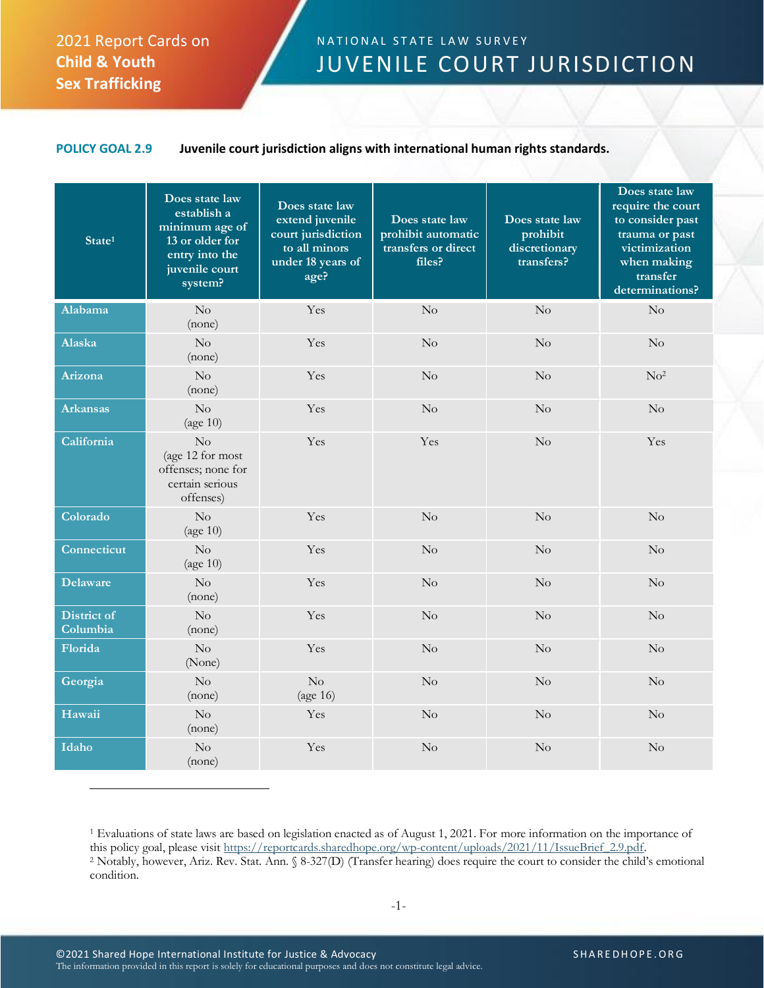## 2021 Report Cards on **Child & Youth Sex Trafficking**

## N A T I ON AL STATE LAW SURVEY JUVENILE COURT JURISDICTION

## **POLICY GOAL 2.9 Juvenile court jurisdiction aligns with international human rights standards.**

| State <sup>1</sup>             | Does state law<br>establish a<br>minimum age of<br>13 or older for<br>entry into the<br>juvenile court<br>system? | Does state law<br>extend juvenile<br>court jurisdiction<br>to all minors<br>under 18 years of<br>age? | Does state law<br>prohibit automatic<br>transfers or direct<br>files? | Does state law<br>prohibit<br>discretionary<br>transfers? | Does state law<br>require the court<br>to consider past<br>trauma or past<br>victimization<br>when making<br>transfer<br>determinations? |
|--------------------------------|-------------------------------------------------------------------------------------------------------------------|-------------------------------------------------------------------------------------------------------|-----------------------------------------------------------------------|-----------------------------------------------------------|------------------------------------------------------------------------------------------------------------------------------------------|
| <b>Alabama</b>                 | No<br>(none)                                                                                                      | Yes                                                                                                   | $\rm No$                                                              | $\rm No$                                                  | No                                                                                                                                       |
| Alaska                         | $\rm No$<br>(none)                                                                                                | Yes                                                                                                   | $\rm No$                                                              | $\rm No$                                                  | $\rm No$                                                                                                                                 |
| Arizona                        | No<br>(none)                                                                                                      | Yes                                                                                                   | No                                                                    | No                                                        | No <sup>2</sup>                                                                                                                          |
| Arkansas                       | No<br>(age $10$ )                                                                                                 | Yes                                                                                                   | No                                                                    | No                                                        | No                                                                                                                                       |
| California                     | $\rm No$<br>(age 12 for most<br>offenses; none for<br>certain serious<br>offenses)                                | Yes                                                                                                   | Yes                                                                   | $\rm No$                                                  | Yes                                                                                                                                      |
| Colorado                       | No<br>(age $10$ )                                                                                                 | Yes                                                                                                   | $\rm No$                                                              | $\rm No$                                                  | No                                                                                                                                       |
| Connecticut                    | No<br>(age 10)                                                                                                    | Yes                                                                                                   | No                                                                    | $\rm No$                                                  | No                                                                                                                                       |
| Delaware                       | No<br>(none)                                                                                                      | Yes                                                                                                   | No                                                                    | $\rm No$                                                  | No                                                                                                                                       |
| <b>District of</b><br>Columbia | No<br>(none)                                                                                                      | Yes                                                                                                   | No                                                                    | $\rm No$                                                  | No                                                                                                                                       |
| Florida                        | No<br>(None)                                                                                                      | Yes                                                                                                   | No                                                                    | $\rm No$                                                  | No                                                                                                                                       |
| Georgia                        | No<br>(none)                                                                                                      | $\overline{\text{No}}$<br>(age 16)                                                                    | No                                                                    | No                                                        | No                                                                                                                                       |
| Hawaii                         | No<br>(none)                                                                                                      | Yes                                                                                                   | $\rm No$                                                              | $\rm No$                                                  | $\rm No$                                                                                                                                 |
| Idaho                          | $\rm No$<br>(none)                                                                                                | Yes                                                                                                   | No                                                                    | $\rm No$                                                  | No                                                                                                                                       |

<sup>1</sup> Evaluations of state laws are based on legislation enacted as of August 1, 2021. For more information on the importance of this policy goal, please visit [https://reportcards.sharedhope.org/wp-content/uploads/2021/11/IssueBrief\\_2.9.pdf.](https://reportcards.sharedhope.org/wp-content/uploads/2021/11/IssueBrief_2.9.pdf) <sup>2</sup> Notably, however, Ariz. Rev. Stat. Ann. § 8-327(D) (Transfer hearing) does require the court to consider the child's emotional condition.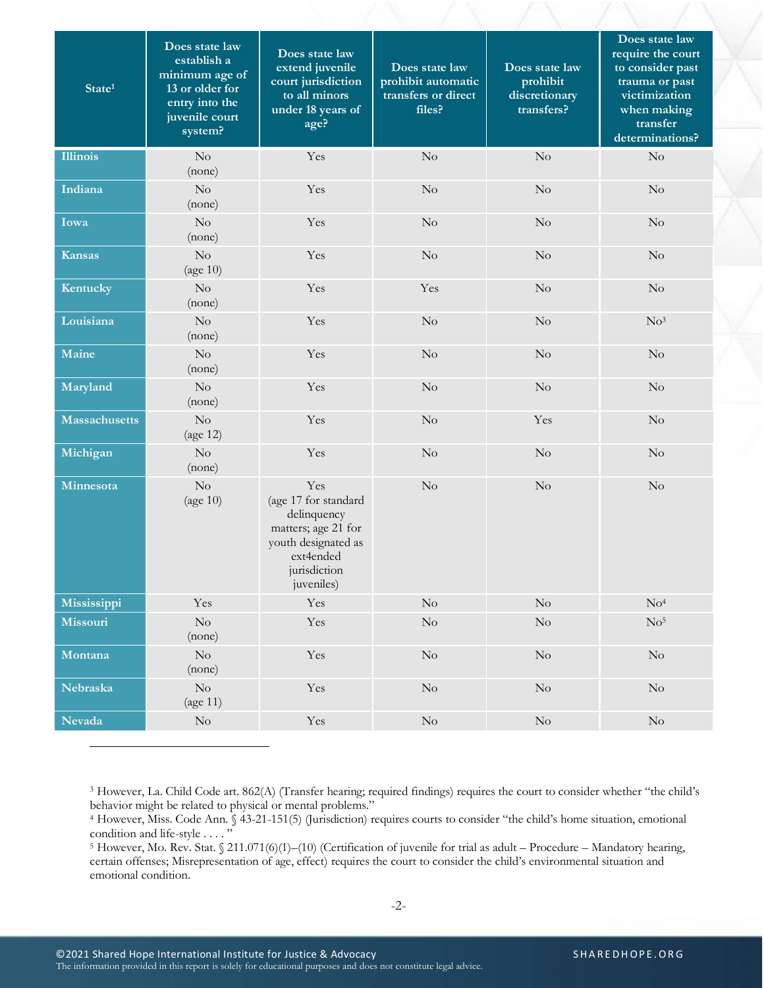| State <sup>1</sup>   | Does state law<br>establish a<br>minimum age of<br>13 or older for<br>entry into the<br>juvenile court<br>system? | Does state law<br>extend juvenile<br>court jurisdiction<br>to all minors<br>under 18 years of<br>age?                               | Does state law<br>prohibit automatic<br>transfers or direct<br>files? | Does state law<br>prohibit<br>discretionary<br>transfers? | Does state law<br>require the court<br>to consider past<br>trauma or past<br>victimization<br>when making<br>transfer<br>determinations? |
|----------------------|-------------------------------------------------------------------------------------------------------------------|-------------------------------------------------------------------------------------------------------------------------------------|-----------------------------------------------------------------------|-----------------------------------------------------------|------------------------------------------------------------------------------------------------------------------------------------------|
| <b>Illinois</b>      | $\rm No$<br>(none)                                                                                                | Yes                                                                                                                                 | $\rm No$                                                              | No                                                        | No                                                                                                                                       |
| Indiana              | $\rm No$<br>(none)                                                                                                | Yes                                                                                                                                 | $\rm No$                                                              | $\rm No$                                                  | No                                                                                                                                       |
| Iowa                 | No<br>(none)                                                                                                      | Yes                                                                                                                                 | No                                                                    | $\rm No$                                                  | No                                                                                                                                       |
| <b>Kansas</b>        | No<br>$\left(\text{age } 10\right)$                                                                               | Yes                                                                                                                                 | $\rm No$                                                              | $\rm No$                                                  | $\rm No$                                                                                                                                 |
| Kentucky             | $\rm No$<br>(none)                                                                                                | Yes                                                                                                                                 | Yes                                                                   | $\rm No$                                                  | No                                                                                                                                       |
| Louisiana            | $\rm No$<br>(none)                                                                                                | Yes                                                                                                                                 | $\rm No$                                                              | No                                                        | No <sup>3</sup>                                                                                                                          |
| Maine                | No<br>(none)                                                                                                      | Yes                                                                                                                                 | $\rm No$                                                              | $\rm No$                                                  | No                                                                                                                                       |
| Maryland             | No<br>(none)                                                                                                      | Yes                                                                                                                                 | No                                                                    | $\rm No$                                                  | No                                                                                                                                       |
| <b>Massachusetts</b> | $\rm No$<br>(age 12)                                                                                              | Yes                                                                                                                                 | No                                                                    | Yes                                                       | $\rm No$                                                                                                                                 |
| Michigan             | $\rm No$<br>(none)                                                                                                | Yes                                                                                                                                 | No                                                                    | $\rm No$                                                  | $\rm No$                                                                                                                                 |
| Minnesota            | No<br>(age $10$ )                                                                                                 | Yes<br>(age 17 for standard<br>delinquency<br>matters; age 21 for<br>youth designated as<br>ext4ended<br>jurisdiction<br>juveniles) | No                                                                    | $\rm No$                                                  | No                                                                                                                                       |
| Mississippi          | Yes                                                                                                               | Yes                                                                                                                                 | $\rm No$                                                              | $\rm No$                                                  | $\rm No^4$                                                                                                                               |
| Missouri             | $\rm No$<br>(none)                                                                                                | Yes                                                                                                                                 | $\rm No$                                                              | $\rm No$                                                  | $\rm No^5$                                                                                                                               |
| Montana              | $\rm No$<br>(none)                                                                                                | Yes                                                                                                                                 | $\rm No$                                                              | $\rm No$                                                  | $\rm No$                                                                                                                                 |
| Nebraska             | $\rm No$<br>$\left(\text{age } 11\right)$                                                                         | Yes                                                                                                                                 | $\rm No$                                                              | $\rm No$                                                  | $\rm No$                                                                                                                                 |
| <b>Nevada</b>        | $\rm No$                                                                                                          | Yes                                                                                                                                 | $\rm No$                                                              | $\rm No$                                                  | $\rm No$                                                                                                                                 |

<sup>3</sup> However, La. Child Code art. 862(A) (Transfer hearing; required findings) requires the court to consider whether "the child's behavior might be related to physical or mental problems."

<sup>4</sup> However, Miss. Code Ann. § 43-21-151(5) (Jurisdiction) requires courts to consider "the child's home situation, emotional condition and life-style . . . . "

<sup>5</sup> However, Mo. Rev. Stat. § 211.071(6)(1)-(10) (Certification of juvenile for trial as adult – Procedure – Mandatory hearing, certain offenses; Misrepresentation of age, effect) requires the court to consider the child's environmental situation and emotional condition.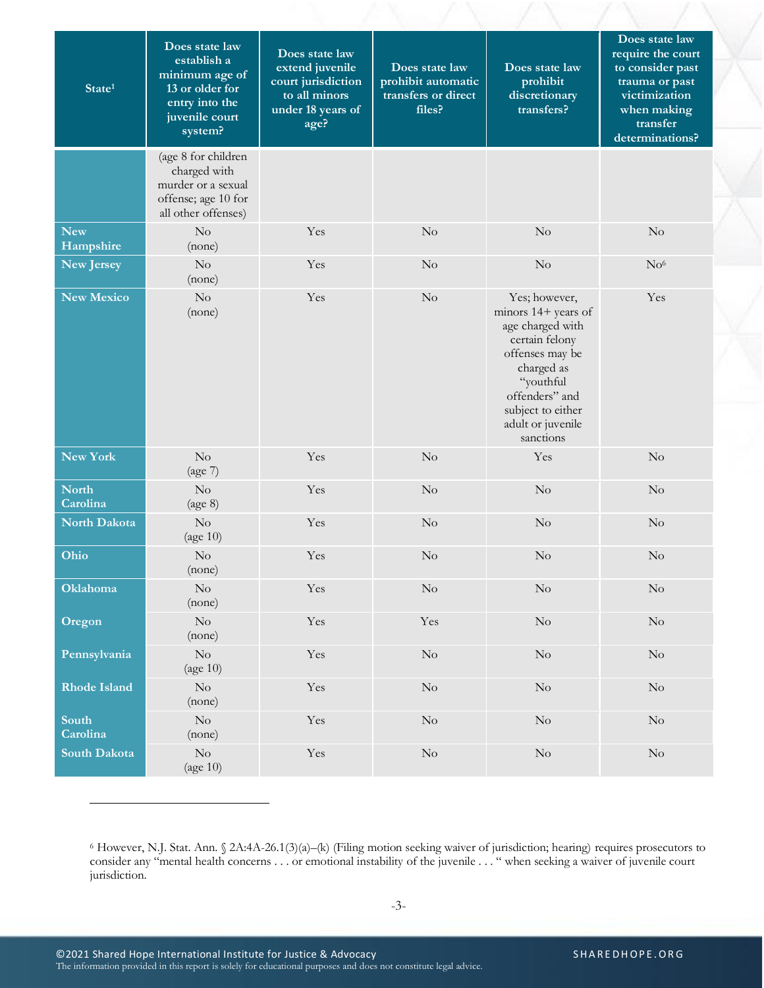| State <sup>1</sup>       | Does state law<br>establish a<br>minimum age of<br>13 or older for<br>entry into the<br>juvenile court<br>system? | Does state law<br>extend juvenile<br>court jurisdiction<br>to all minors<br>under 18 years of<br>age? | Does state law<br>prohibit automatic<br>transfers or direct<br>files? | Does state law<br>prohibit<br>discretionary<br>transfers?                                                                                                                                         | Does state law<br>require the court<br>to consider past<br>trauma or past<br>victimization<br>when making<br>transfer<br>determinations? |
|--------------------------|-------------------------------------------------------------------------------------------------------------------|-------------------------------------------------------------------------------------------------------|-----------------------------------------------------------------------|---------------------------------------------------------------------------------------------------------------------------------------------------------------------------------------------------|------------------------------------------------------------------------------------------------------------------------------------------|
|                          | (age 8 for children<br>charged with<br>murder or a sexual<br>offense; age 10 for<br>all other offenses)           |                                                                                                       |                                                                       |                                                                                                                                                                                                   |                                                                                                                                          |
| <b>New</b><br>Hampshire  | $\rm No$<br>(none)                                                                                                | Yes                                                                                                   | $\rm No$                                                              | $\rm No$                                                                                                                                                                                          | $\rm No$                                                                                                                                 |
| <b>New Jersey</b>        | $\overline{N}_{O}$<br>(none)                                                                                      | Yes                                                                                                   | No                                                                    | $\rm No$                                                                                                                                                                                          | No <sup>6</sup>                                                                                                                          |
| <b>New Mexico</b>        | No<br>(none)                                                                                                      | Yes                                                                                                   | $\rm No$                                                              | Yes; however,<br>minors 14+ years of<br>age charged with<br>certain felony<br>offenses may be<br>charged as<br>"youthful<br>offenders" and<br>subject to either<br>adult or juvenile<br>sanctions | Yes                                                                                                                                      |
| New York                 | No<br>(age 7)                                                                                                     | Yes                                                                                                   | No                                                                    | Yes                                                                                                                                                                                               | No                                                                                                                                       |
| <b>North</b><br>Carolina | No<br>(age 8)                                                                                                     | Yes                                                                                                   | No                                                                    | $\rm No$                                                                                                                                                                                          | $\rm No$                                                                                                                                 |
| <b>North Dakota</b>      | No<br>(age $10$ )                                                                                                 | Yes                                                                                                   | $\rm No$                                                              | $\rm No$                                                                                                                                                                                          | $\rm No$                                                                                                                                 |
| Ohio                     | $\rm No$<br>(none)                                                                                                | Yes                                                                                                   | $\rm No$                                                              | $\rm No$                                                                                                                                                                                          | No                                                                                                                                       |
| Oklahoma                 | $\rm No$<br>(none)                                                                                                | Yes                                                                                                   | No                                                                    | No                                                                                                                                                                                                | No                                                                                                                                       |
| Oregon                   | $\rm No$<br>(none)                                                                                                | Yes                                                                                                   | Yes                                                                   | $\rm No$                                                                                                                                                                                          | $\rm No$                                                                                                                                 |
| Pennsylvania             | $\rm No$<br>$\left(\text{age } 10\right)$                                                                         | Yes                                                                                                   | $\rm No$                                                              | $\rm No$                                                                                                                                                                                          | $\rm No$                                                                                                                                 |
| <b>Rhode Island</b>      | $\rm No$<br>(none)                                                                                                | Yes                                                                                                   | $\rm No$                                                              | $\rm No$                                                                                                                                                                                          | $\rm No$                                                                                                                                 |
| South<br>Carolina        | $\rm No$<br>(none)                                                                                                | Yes                                                                                                   | $\rm No$                                                              | $\rm No$                                                                                                                                                                                          | $\rm No$                                                                                                                                 |
| South Dakota             | $\rm No$<br>(age 10)                                                                                              | Yes                                                                                                   | $\rm No$                                                              | $\rm No$                                                                                                                                                                                          | $\rm No$                                                                                                                                 |

<sup>6</sup> However, N.J. Stat. Ann. § 2A:4A-26.1(3)(a)–(k) (Filing motion seeking waiver of jurisdiction; hearing) requires prosecutors to consider any "mental health concerns . . . or emotional instability of the juvenile . . . " when seeking a waiver of juvenile court jurisdiction.